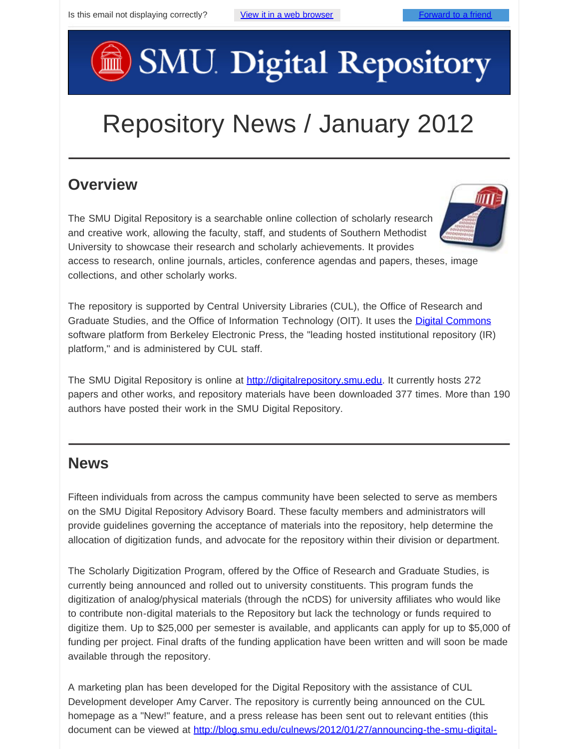# SMU Digital Repository

## Repository News / January 2012

#### **Overview**

The SMU Digital Repository is a searchable online collection of scholarly research and creative work, allowing the faculty, staff, and students of Southern Methodist University to showcase their research and scholarly achievements. It provides

access to research, online journals, articles, conference agendas and papers, theses, image collections, and other scholarly works.

The repository is supported by Central University Libraries (CUL), the Office of Research and Graduate Studies, and the Office of Information Technology (OIT). It uses the [Digital Commons](http://digitalcommons.bepress.com/faq/) software platform from Berkeley Electronic Press, the "leading hosted institutional repository (IR) platform," and is administered by CUL staff.

The SMU Digital Repository is online at [http://digitalrepository.smu.edu](http://digitalrepository.smu.edu/). It currently hosts 272 papers and other works, and repository materials have been downloaded 377 times. More than 190 authors have posted their work in the SMU Digital Repository.

#### **News**

Fifteen individuals from across the campus community have been selected to serve as members on the SMU Digital Repository Advisory Board. These faculty members and administrators will provide guidelines governing the acceptance of materials into the repository, help determine the allocation of digitization funds, and advocate for the repository within their division or department.

The Scholarly Digitization Program, offered by the Office of Research and Graduate Studies, is currently being announced and rolled out to university constituents. This program funds the digitization of analog/physical materials (through the nCDS) for university affiliates who would like to contribute non-digital materials to the Repository but lack the technology or funds required to digitize them. Up to \$25,000 per semester is available, and applicants can apply for up to \$5,000 of funding per project. Final drafts of the funding application have been written and will soon be made available through the repository.

A marketing plan has been developed for the Digital Repository with the assistance of CUL Development developer Amy Carver. The repository is currently being announced on the CUL homepage as a "New!" feature, and a press release has been sent out to relevant entities (this document can be viewed at [http://blog.smu.edu/culnews/2012/01/27/announcing-the-smu-digital-](http://blog.smu.edu/culnews/2012/01/27/announcing-the-smu-digital-repository/)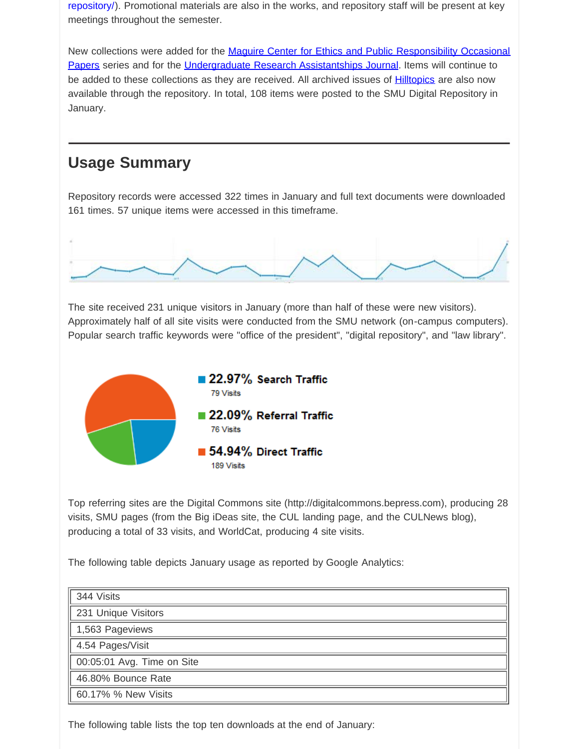[repository/\)](http://blog.smu.edu/culnews/2012/01/27/announcing-the-smu-digital-repository/). Promotional materials are also in the works, and repository staff will be present at key meetings throughout the semester.

New collections were added for the [Maguire Center for Ethics and Public Responsibility Occasional](http://digitalrepository.smu.edu/centers_maguireethics_occasional/) [Papers](http://digitalrepository.smu.edu/centers_maguireethics_occasional/) series and for the *Undergraduate Research Assistantships Journal*. Items will continue to be added to these collections as they are received. All archived issues of **Hilltopics** are also now available through the repository. In total, 108 items were posted to the SMU Digital Repository in January.

#### **Usage Summary**

Repository records were accessed 322 times in January and full text documents were downloaded 161 times. 57 unique items were accessed in this timeframe.



The site received 231 unique visitors in January (more than half of these were new visitors). Approximately half of all site visits were conducted from the SMU network (on-campus computers). Popular search traffic keywords were "office of the president", "digital repository", and "law library".



Top referring sites are the Digital Commons site (http://digitalcommons.bepress.com), producing 28 visits, SMU pages (from the Big iDeas site, the CUL landing page, and the CULNews blog), producing a total of 33 visits, and WorldCat, producing 4 site visits.

The following table depicts January usage as reported by Google Analytics:

| 344 Visits                 |
|----------------------------|
| 231 Unique Visitors        |
| 1,563 Pageviews            |
| 4.54 Pages/Visit           |
| 00:05:01 Avg. Time on Site |
| 46.80% Bounce Rate         |
| 60.17% % New Visits        |

The following table lists the top ten downloads at the end of January: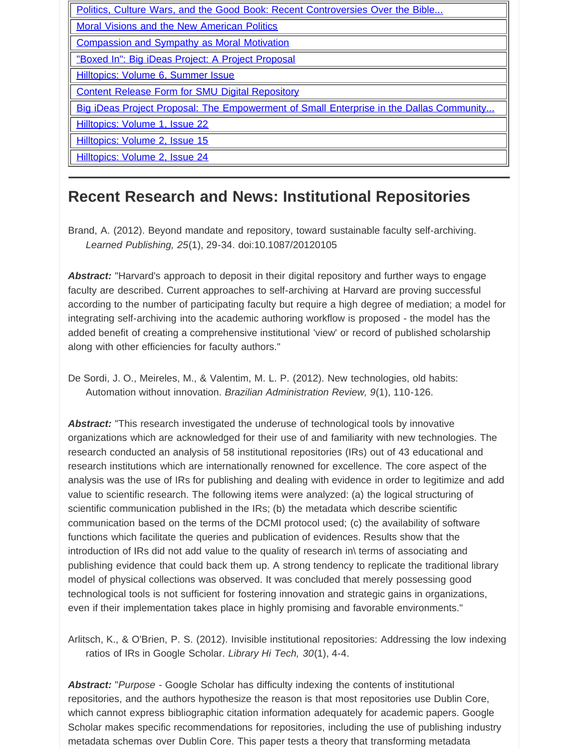| Politics, Culture Wars, and the Good Book: Recent Controversies Over the Bible          |
|-----------------------------------------------------------------------------------------|
| <b>Moral Visions and the New American Politics</b>                                      |
| <b>Compassion and Sympathy as Moral Motivation</b>                                      |
| "Boxed In": Big iDeas Project: A Project Proposal                                       |
| Hilltopics: Volume 6, Summer Issue                                                      |
| <b>Content Release Form for SMU Digital Repository</b>                                  |
| Big iDeas Project Proposal: The Empowerment of Small Enterprise in the Dallas Community |
| Hilltopics: Volume 1, Issue 22                                                          |
| Hilltopics: Volume 2, Issue 15                                                          |
| Hilltopics: Volume 2, Issue 24                                                          |

#### **Recent Research and News: Institutional Repositories**

Brand, A. (2012). Beyond mandate and repository, toward sustainable faculty self-archiving. *Learned Publishing, 25*(1), 29-34. doi:10.1087/20120105

*Abstract:* "Harvard's approach to deposit in their digital repository and further ways to engage faculty are described. Current approaches to self-archiving at Harvard are proving successful according to the number of participating faculty but require a high degree of mediation; a model for integrating self-archiving into the academic authoring workflow is proposed - the model has the added benefit of creating a comprehensive institutional 'view' or record of published scholarship along with other efficiencies for faculty authors."

De Sordi, J. O., Meireles, M., & Valentim, M. L. P. (2012). New technologies, old habits: Automation without innovation. *Brazilian Administration Review, 9*(1), 110-126.

*Abstract:* "This research investigated the underuse of technological tools by innovative organizations which are acknowledged for their use of and familiarity with new technologies. The research conducted an analysis of 58 institutional repositories (IRs) out of 43 educational and research institutions which are internationally renowned for excellence. The core aspect of the analysis was the use of IRs for publishing and dealing with evidence in order to legitimize and add value to scientific research. The following items were analyzed: (a) the logical structuring of scientific communication published in the IRs; (b) the metadata which describe scientific communication based on the terms of the DCMI protocol used; (c) the availability of software functions which facilitate the queries and publication of evidences. Results show that the introduction of IRs did not add value to the quality of research in\ terms of associating and publishing evidence that could back them up. A strong tendency to replicate the traditional library model of physical collections was observed. It was concluded that merely possessing good technological tools is not sufficient for fostering innovation and strategic gains in organizations, even if their implementation takes place in highly promising and favorable environments."

Arlitsch, K., & O'Brien, P. S. (2012). Invisible institutional repositories: Addressing the low indexing ratios of IRs in Google Scholar. *Library Hi Tech, 30*(1), 4-4.

*Abstract:* "*Purpose* - Google Scholar has difficulty indexing the contents of institutional repositories, and the authors hypothesize the reason is that most repositories use Dublin Core, which cannot express bibliographic citation information adequately for academic papers. Google Scholar makes specific recommendations for repositories, including the use of publishing industry metadata schemas over Dublin Core. This paper tests a theory that transforming metadata